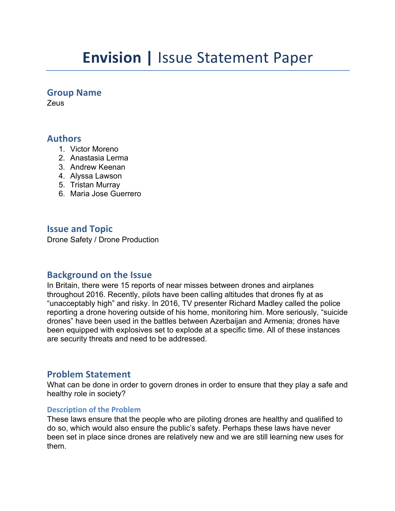# **Envision | Issue Statement Paper**

## **Group Name**

**Zeus** 

## **Authors**

- 1. Victor Moreno
- 2. Anastasia Lerma
- 3. Andrew Keenan
- 4. Alyssa Lawson
- 5. Tristan Murray
- 6. Maria Jose Guerrero

## **Issue and Topic**

Drone Safety / Drone Production

# **Background on the Issue**

In Britain, there were 15 reports of near misses between drones and airplanes throughout 2016. Recently, pilots have been calling altitudes that drones fly at as "unacceptably high" and risky. In 2016, TV presenter Richard Madley called the police reporting a drone hovering outside of his home, monitoring him. More seriously, "suicide drones" have been used in the battles between Azerbaijan and Armenia; drones have been equipped with explosives set to explode at a specific time. All of these instances are security threats and need to be addressed.

# **Problem Statement**

What can be done in order to govern drones in order to ensure that they play a safe and healthy role in society?

## **Description of the Problem**

These laws ensure that the people who are piloting drones are healthy and qualified to do so, which would also ensure the public's safety. Perhaps these laws have never been set in place since drones are relatively new and we are still learning new uses for them.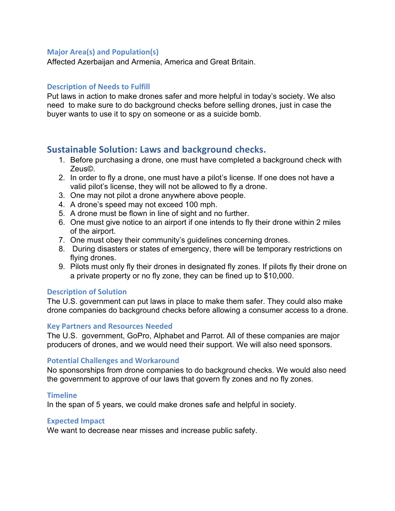## **Major Area(s) and Population(s)**

Affected Azerbaijan and Armenia, America and Great Britain.

### **Description of Needs to Fulfill**

Put laws in action to make drones safer and more helpful in today's society. We also need to make sure to do background checks before selling drones, just in case the buyer wants to use it to spy on someone or as a suicide bomb.

# **Sustainable Solution: Laws and background checks.**

- 1. Before purchasing a drone, one must have completed a background check with Zeus©.
- 2. In order to fly a drone, one must have a pilot's license. If one does not have a valid pilot's license, they will not be allowed to fly a drone.
- 3. One may not pilot a drone anywhere above people.
- 4. A drone's speed may not exceed 100 mph.
- 5. A drone must be flown in line of sight and no further.
- 6. One must give notice to an airport if one intends to fly their drone within 2 miles of the airport.
- 7. One must obey their community's guidelines concerning drones.
- 8. During disasters or states of emergency, there will be temporary restrictions on flying drones.
- 9. Pilots must only fly their drones in designated fly zones. If pilots fly their drone on a private property or no fly zone, they can be fined up to \$10,000.

#### **Description of Solution**

The U.S. government can put laws in place to make them safer. They could also make drone companies do background checks before allowing a consumer access to a drone.

#### **Key Partners and Resources Needed**

The U.S. government, GoPro, Alphabet and Parrot. All of these companies are major producers of drones, and we would need their support. We will also need sponsors.

## **Potential Challenges and Workaround**

No sponsorships from drone companies to do background checks. We would also need the government to approve of our laws that govern fly zones and no fly zones.

#### **Timeline**

In the span of 5 years, we could make drones safe and helpful in society.

#### **Expected Impact**

We want to decrease near misses and increase public safety.